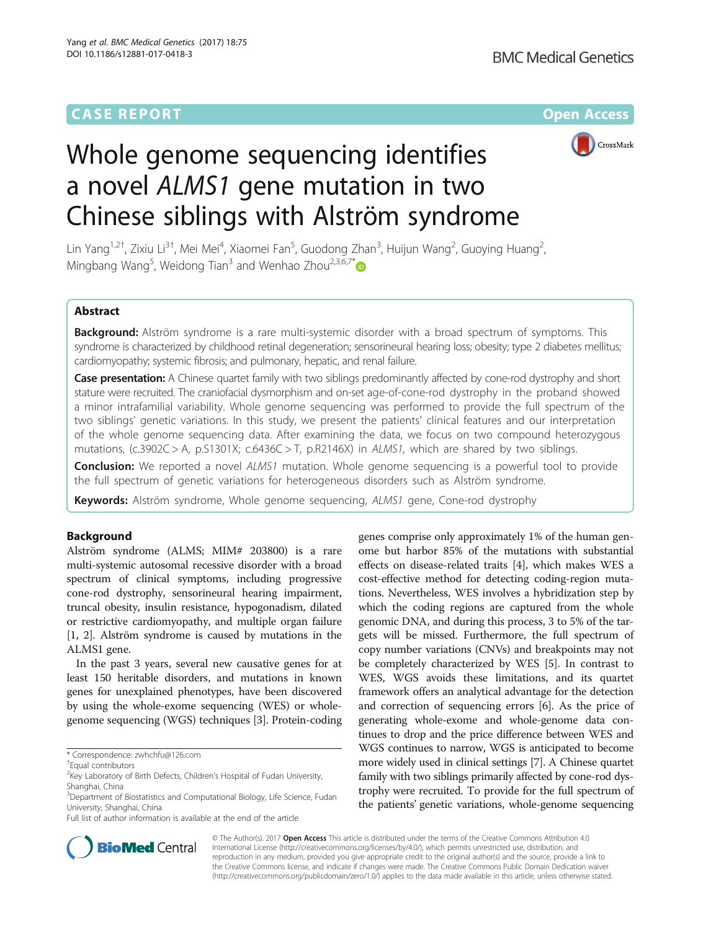# **CASE REPORT CASE REPORT CASE REPORT**



# Whole genome sequencing identifies a novel ALMS1 gene mutation in two Chinese siblings with Alström syndrome

Lin Yang<sup>1,2†</sup>, Zixiu Li<sup>3†</sup>, Mei Mei<sup>4</sup>, Xiaomei Fan<sup>5</sup>, Guodong Zhan<sup>3</sup>, Huijun Wang<sup>2</sup>, Guoying Huang<sup>2</sup> , Mingbang Wang<sup>5</sup>, Weidong Tian<sup>3</sup> and Wenhao Zhou<sup>2,3,6,7[\\*](http://orcid.org/0000-0001-8956-7238)</sup>

## Abstract

Background: Alström syndrome is a rare multi-systemic disorder with a broad spectrum of symptoms. This syndrome is characterized by childhood retinal degeneration; sensorineural hearing loss; obesity; type 2 diabetes mellitus; cardiomyopathy; systemic fibrosis; and pulmonary, hepatic, and renal failure.

Case presentation: A Chinese quartet family with two siblings predominantly affected by cone-rod dystrophy and short stature were recruited. The craniofacial dysmorphism and on-set age-of-cone-rod dystrophy in the proband showed a minor intrafamilial variability. Whole genome sequencing was performed to provide the full spectrum of the two siblings' genetic variations. In this study, we present the patients' clinical features and our interpretation of the whole genome sequencing data. After examining the data, we focus on two compound heterozygous mutations, (c.3902C > A, p.S1301X; c.6436C > T, p.R2146X) in ALMS1, which are shared by two siblings.

**Conclusion:** We reported a novel ALMS1 mutation. Whole genome sequencing is a powerful tool to provide the full spectrum of genetic variations for heterogeneous disorders such as Alström syndrome.

Keywords: Alström syndrome, Whole genome sequencing, ALMS1 gene, Cone-rod dystrophy

## Background

Alström syndrome (ALMS; MIM# 203800) is a rare multi-systemic autosomal recessive disorder with a broad spectrum of clinical symptoms, including progressive cone-rod dystrophy, sensorineural hearing impairment, truncal obesity, insulin resistance, hypogonadism, dilated or restrictive cardiomyopathy, and multiple organ failure [[1, 2\]](#page-5-0). Alström syndrome is caused by mutations in the ALMS1 gene.

In the past 3 years, several new causative genes for at least 150 heritable disorders, and mutations in known genes for unexplained phenotypes, have been discovered by using the whole-exome sequencing (WES) or wholegenome sequencing (WGS) techniques [\[3](#page-5-0)]. Protein-coding

genes comprise only approximately 1% of the human genome but harbor 85% of the mutations with substantial effects on disease-related traits [[4\]](#page-5-0), which makes WES a cost-effective method for detecting coding-region mutations. Nevertheless, WES involves a hybridization step by which the coding regions are captured from the whole genomic DNA, and during this process, 3 to 5% of the targets will be missed. Furthermore, the full spectrum of copy number variations (CNVs) and breakpoints may not be completely characterized by WES [[5\]](#page-5-0). In contrast to WES, WGS avoids these limitations, and its quartet framework offers an analytical advantage for the detection and correction of sequencing errors [\[6\]](#page-5-0). As the price of generating whole-exome and whole-genome data continues to drop and the price difference between WES and WGS continues to narrow, WGS is anticipated to become more widely used in clinical settings [[7](#page-5-0)]. A Chinese quartet family with two siblings primarily affected by cone-rod dystrophy were recruited. To provide for the full spectrum of the patients' genetic variations, whole-genome sequencing



© The Author(s). 2017 **Open Access** This article is distributed under the terms of the Creative Commons Attribution 4.0 International License [\(http://creativecommons.org/licenses/by/4.0/](http://creativecommons.org/licenses/by/4.0/)), which permits unrestricted use, distribution, and reproduction in any medium, provided you give appropriate credit to the original author(s) and the source, provide a link to the Creative Commons license, and indicate if changes were made. The Creative Commons Public Domain Dedication waiver [\(http://creativecommons.org/publicdomain/zero/1.0/](http://creativecommons.org/publicdomain/zero/1.0/)) applies to the data made available in this article, unless otherwise stated.

<sup>\*</sup> Correspondence: [zwhchfu@126.com](mailto:zwhchfu@126.com) †

Equal contributors

<sup>&</sup>lt;sup>2</sup> Key Laboratory of Birth Defects, Children's Hospital of Fudan University, Shanghai, China

<sup>&</sup>lt;sup>3</sup>Department of Biostatistics and Computational Biology, Life Science, Fudan University, Shanghai, China

Full list of author information is available at the end of the article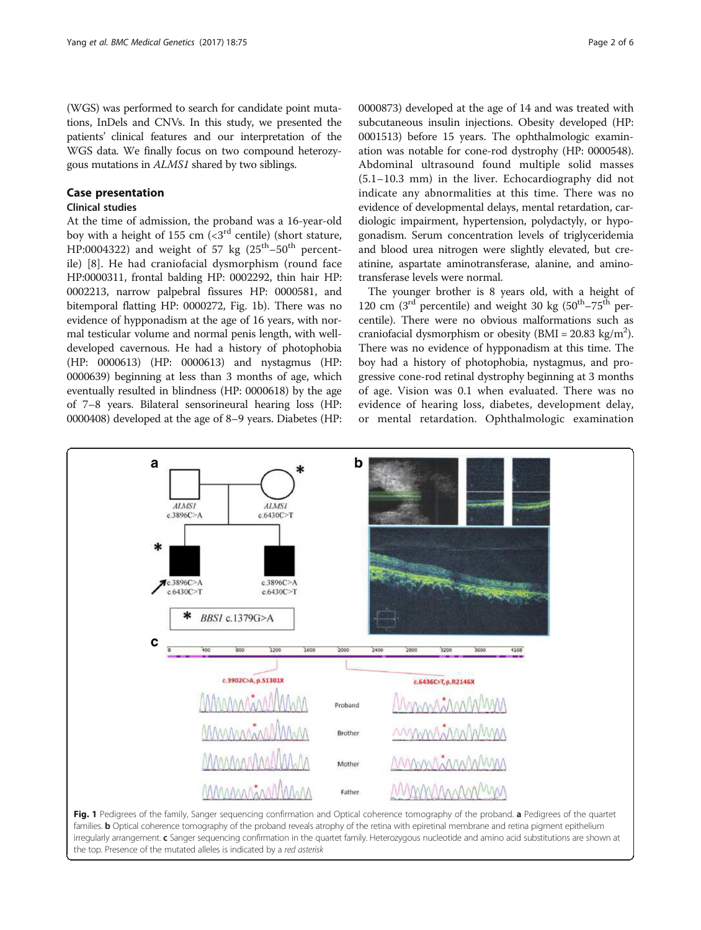(WGS) was performed to search for candidate point mutations, InDels and CNVs. In this study, we presented the patients' clinical features and our interpretation of the WGS data. We finally focus on two compound heterozygous mutations in ALMS1 shared by two siblings.

## Case presentation

## Clinical studies

At the time of admission, the proband was a 16-year-old boy with a height of 155 cm  $(*3*<sup>rd</sup> centile)$  (short stature, HP:0004322) and weight of 57 kg  $(25<sup>th</sup> - 50<sup>th</sup>$  percentile) [\[8](#page-5-0)]. He had craniofacial dysmorphism (round face HP:0000311, frontal balding HP: 0002292, thin hair HP: 0002213, narrow palpebral fissures HP: 0000581, and bitemporal flatting HP: 0000272, Fig. 1b). There was no evidence of hypponadism at the age of 16 years, with normal testicular volume and normal penis length, with welldeveloped cavernous. He had a history of photophobia (HP: 0000613) (HP: 0000613) and nystagmus (HP: 0000639) beginning at less than 3 months of age, which eventually resulted in blindness (HP: 0000618) by the age of 7–8 years. Bilateral sensorineural hearing loss (HP: 0000408) developed at the age of 8–9 years. Diabetes (HP: 0000873) developed at the age of 14 and was treated with subcutaneous insulin injections. Obesity developed (HP: 0001513) before 15 years. The ophthalmologic examination was notable for cone-rod dystrophy (HP: 0000548). Abdominal ultrasound found multiple solid masses (5.1–10.3 mm) in the liver. Echocardiography did not indicate any abnormalities at this time. There was no evidence of developmental delays, mental retardation, cardiologic impairment, hypertension, polydactyly, or hypogonadism. Serum concentration levels of triglyceridemia and blood urea nitrogen were slightly elevated, but creatinine, aspartate aminotransferase, alanine, and aminotransferase levels were normal.

The younger brother is 8 years old, with a height of 120 cm ( $3<sup>rd</sup>$  percentile) and weight 30 kg ( $50<sup>th</sup> - 75<sup>th</sup>$  percentile). There were no obvious malformations such as craniofacial dysmorphism or obesity (BMI =  $20.83 \text{ kg/m}^2$ ). There was no evidence of hypponadism at this time. The boy had a history of photophobia, nystagmus, and progressive cone-rod retinal dystrophy beginning at 3 months of age. Vision was 0.1 when evaluated. There was no evidence of hearing loss, diabetes, development delay, or mental retardation. Ophthalmologic examination



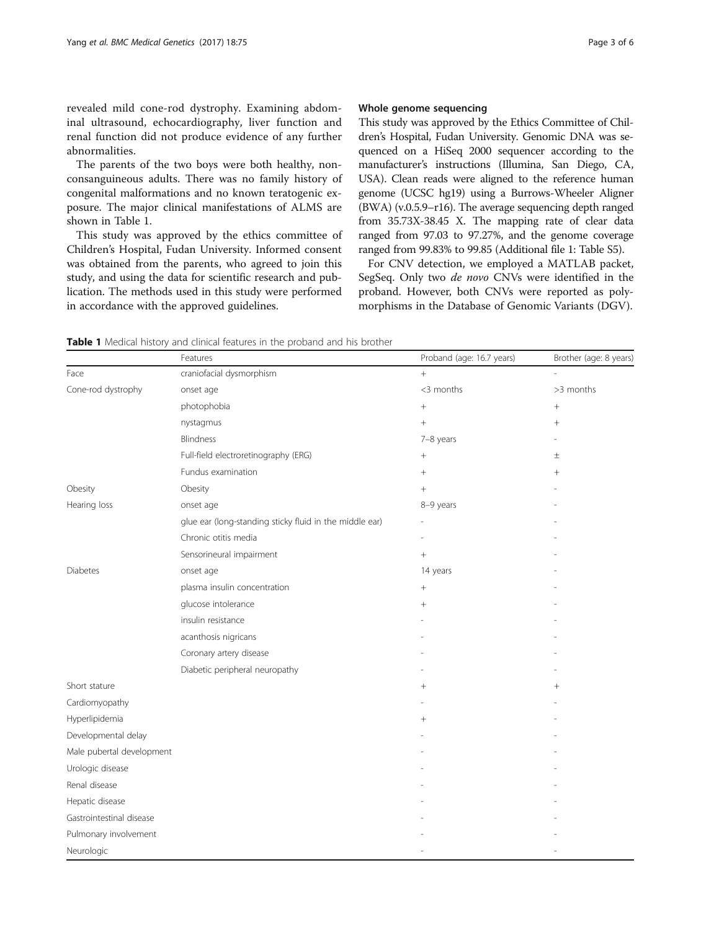<span id="page-2-0"></span>revealed mild cone-rod dystrophy. Examining abdominal ultrasound, echocardiography, liver function and renal function did not produce evidence of any further abnormalities.

The parents of the two boys were both healthy, nonconsanguineous adults. There was no family history of congenital malformations and no known teratogenic exposure. The major clinical manifestations of ALMS are shown in Table 1.

This study was approved by the ethics committee of Children's Hospital, Fudan University. Informed consent was obtained from the parents, who agreed to join this study, and using the data for scientific research and publication. The methods used in this study were performed in accordance with the approved guidelines.

Table 1 Medical history and clinical features in the proband and his brother

## Whole genome sequencing

This study was approved by the Ethics Committee of Children's Hospital, Fudan University. Genomic DNA was sequenced on a HiSeq 2000 sequencer according to the manufacturer's instructions (Illumina, San Diego, CA, USA). Clean reads were aligned to the reference human genome (UCSC hg19) using a Burrows-Wheeler Aligner (BWA) (v.0.5.9–r16). The average sequencing depth ranged from 35.73X-38.45 X. The mapping rate of clear data ranged from 97.03 to 97.27%, and the genome coverage ranged from 99.83% to 99.85 (Additional file [1](#page-4-0): Table S5).

For CNV detection, we employed a MATLAB packet, SegSeq. Only two de novo CNVs were identified in the proband. However, both CNVs were reported as polymorphisms in the Database of Genomic Variants (DGV).

|                           | Features                                                | Proband (age: 16.7 years) | Brother (age: 8 years) |
|---------------------------|---------------------------------------------------------|---------------------------|------------------------|
| Face                      | craniofacial dysmorphism                                | $^{+}$                    |                        |
| Cone-rod dystrophy        | onset age                                               | <3 months                 | >3 months              |
|                           | photophobia                                             | $^{+}$                    | $\! + \!\!\!\!$        |
|                           | nystagmus                                               | $^{+}$                    | $^{+}$                 |
|                           | Blindness                                               | 7-8 years                 |                        |
|                           | Full-field electroretinography (ERG)                    | $\! + \!\!\!\!$           | 土                      |
|                           | Fundus examination                                      | $^{+}$                    | $^{+}$                 |
| Obesity                   | Obesity                                                 | $^{+}$                    |                        |
| Hearing loss              | onset age                                               | 8-9 years                 |                        |
|                           | glue ear (long-standing sticky fluid in the middle ear) |                           |                        |
|                           | Chronic otitis media                                    |                           |                        |
|                           | Sensorineural impairment                                | $^{+}$                    |                        |
| <b>Diabetes</b>           | onset age                                               | 14 years                  |                        |
|                           | plasma insulin concentration                            | $^{+}$                    |                        |
|                           | glucose intolerance                                     | $\! + \!$                 |                        |
|                           | insulin resistance                                      |                           |                        |
|                           | acanthosis nigricans                                    |                           |                        |
|                           | Coronary artery disease                                 |                           |                        |
|                           | Diabetic peripheral neuropathy                          |                           |                        |
| Short stature             |                                                         | $^{+}$                    | $^{+}$                 |
| Cardiomyopathy            |                                                         |                           |                        |
| Hyperlipidemia            |                                                         |                           |                        |
| Developmental delay       |                                                         |                           |                        |
| Male pubertal development |                                                         |                           |                        |
| Urologic disease          |                                                         |                           |                        |
| Renal disease             |                                                         |                           |                        |
| Hepatic disease           |                                                         |                           |                        |
| Gastrointestinal disease  |                                                         |                           |                        |
| Pulmonary involvement     |                                                         |                           |                        |
| Neurologic                |                                                         |                           |                        |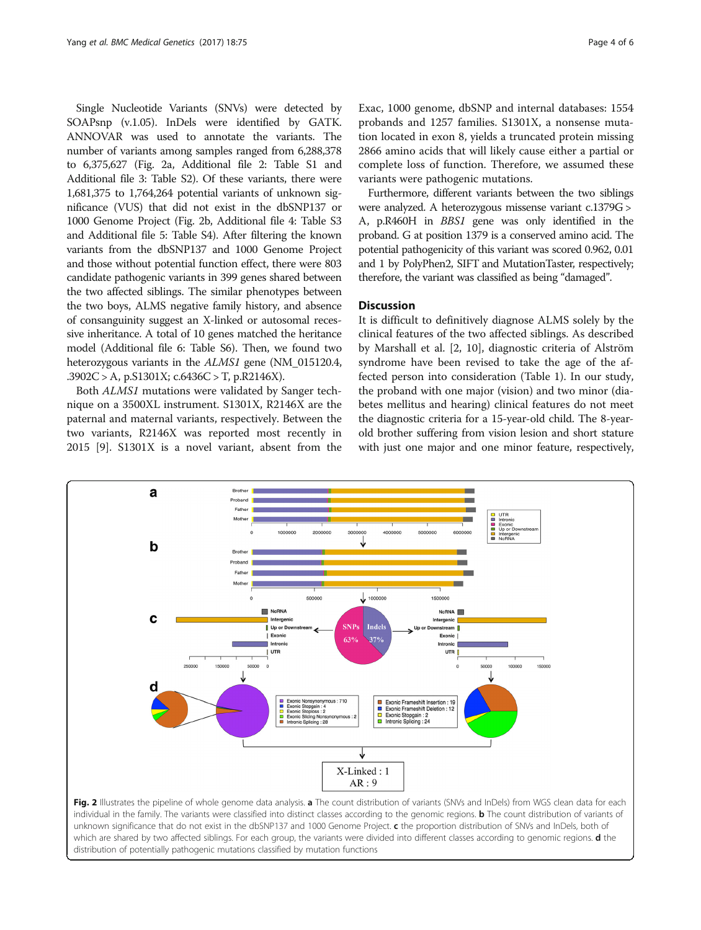<span id="page-3-0"></span>Single Nucleotide Variants (SNVs) were detected by SOAPsnp (v.1.05). InDels were identified by GATK. ANNOVAR was used to annotate the variants. The number of variants among samples ranged from 6,288,378 to 6,375,627 (Fig. 2a, Additional file [2:](#page-4-0) Table S1 and Additional file [3:](#page-4-0) Table S2). Of these variants, there were 1,681,375 to 1,764,264 potential variants of unknown significance (VUS) that did not exist in the dbSNP137 or 1000 Genome Project (Fig. 2b, Additional file [4:](#page-4-0) Table S3 and Additional file [5](#page-4-0): Table S4). After filtering the known variants from the dbSNP137 and 1000 Genome Project and those without potential function effect, there were 803 candidate pathogenic variants in 399 genes shared between the two affected siblings. The similar phenotypes between the two boys, ALMS negative family history, and absence of consanguinity suggest an X-linked or autosomal recessive inheritance. A total of 10 genes matched the heritance model (Additional file [6](#page-4-0): Table S6). Then, we found two heterozygous variants in the *ALMS1* gene (NM 015120.4,  $.3902C > A$ , p.S1301X; c.6436C > T, p.R2146X).

Both ALMS1 mutations were validated by Sanger technique on a 3500XL instrument. S1301X, R2146X are the paternal and maternal variants, respectively. Between the two variants, R2146X was reported most recently in 2015 [[9\]](#page-5-0). S1301X is a novel variant, absent from the Exac, 1000 genome, dbSNP and internal databases: 1554 probands and 1257 families. S1301X, a nonsense mutation located in exon 8, yields a truncated protein missing 2866 amino acids that will likely cause either a partial or complete loss of function. Therefore, we assumed these variants were pathogenic mutations.

Furthermore, different variants between the two siblings were analyzed. A heterozygous missense variant c.1379G > A, p.R460H in BBS1 gene was only identified in the proband. G at position 1379 is a conserved amino acid. The potential pathogenicity of this variant was scored 0.962, 0.01 and 1 by PolyPhen2, SIFT and MutationTaster, respectively; therefore, the variant was classified as being "damaged".

## **Discussion**

It is difficult to definitively diagnose ALMS solely by the clinical features of the two affected siblings. As described by Marshall et al. [\[2](#page-5-0), [10](#page-5-0)], diagnostic criteria of Alström syndrome have been revised to take the age of the affected person into consideration (Table [1\)](#page-2-0). In our study, the proband with one major (vision) and two minor (diabetes mellitus and hearing) clinical features do not meet the diagnostic criteria for a 15-year-old child. The 8-yearold brother suffering from vision lesion and short stature with just one major and one minor feature, respectively,

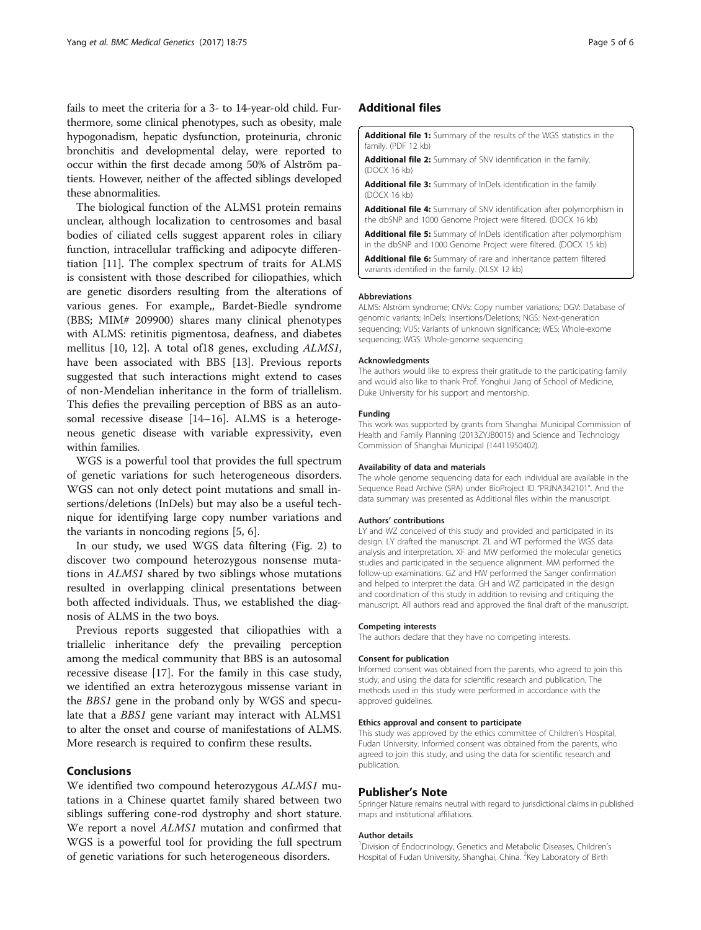<span id="page-4-0"></span>fails to meet the criteria for a 3- to 14-year-old child. Furthermore, some clinical phenotypes, such as obesity, male hypogonadism, hepatic dysfunction, proteinuria, chronic bronchitis and developmental delay, were reported to occur within the first decade among 50% of Alström patients. However, neither of the affected siblings developed these abnormalities.

The biological function of the ALMS1 protein remains unclear, although localization to centrosomes and basal bodies of ciliated cells suggest apparent roles in ciliary function, intracellular trafficking and adipocyte differentiation [\[11](#page-5-0)]. The complex spectrum of traits for ALMS is consistent with those described for ciliopathies, which are genetic disorders resulting from the alterations of various genes. For example,, Bardet-Biedle syndrome (BBS; MIM# 209900) shares many clinical phenotypes with ALMS: retinitis pigmentosa, deafness, and diabetes mellitus [\[10](#page-5-0), [12\]](#page-5-0). A total of18 genes, excluding ALMS1, have been associated with BBS [[13](#page-5-0)]. Previous reports suggested that such interactions might extend to cases of non-Mendelian inheritance in the form of triallelism. This defies the prevailing perception of BBS as an autosomal recessive disease [[14](#page-5-0)–[16](#page-5-0)]. ALMS is a heterogeneous genetic disease with variable expressivity, even within families.

WGS is a powerful tool that provides the full spectrum of genetic variations for such heterogeneous disorders. WGS can not only detect point mutations and small insertions/deletions (InDels) but may also be a useful technique for identifying large copy number variations and the variants in noncoding regions [[5](#page-5-0), [6](#page-5-0)].

In our study, we used WGS data filtering (Fig. [2\)](#page-3-0) to discover two compound heterozygous nonsense mutations in ALMS1 shared by two siblings whose mutations resulted in overlapping clinical presentations between both affected individuals. Thus, we established the diagnosis of ALMS in the two boys.

Previous reports suggested that ciliopathies with a triallelic inheritance defy the prevailing perception among the medical community that BBS is an autosomal recessive disease [\[17](#page-5-0)]. For the family in this case study, we identified an extra heterozygous missense variant in the BBS1 gene in the proband only by WGS and speculate that a BBS1 gene variant may interact with ALMS1 to alter the onset and course of manifestations of ALMS. More research is required to confirm these results.

## Conclusions

We identified two compound heterozygous ALMS1 mutations in a Chinese quartet family shared between two siblings suffering cone-rod dystrophy and short stature. We report a novel ALMS1 mutation and confirmed that WGS is a powerful tool for providing the full spectrum of genetic variations for such heterogeneous disorders.

## Additional files

[Additional file 1:](dx.doi.org/10.1186/s12881-017-0418-3) Summary of the results of the WGS statistics in the family. (PDF 12 kb)

[Additional file 2:](dx.doi.org/10.1186/s12881-017-0418-3) Summary of SNV identification in the family. (DOCX 16 kb)

[Additional file 3:](dx.doi.org/10.1186/s12881-017-0418-3) Summary of InDels identification in the family. (DOCX 16 kb)

[Additional file 4:](dx.doi.org/10.1186/s12881-017-0418-3) Summary of SNV identification after polymorphism in the dbSNP and 1000 Genome Project were filtered. (DOCX 16 kb)

[Additional file 5:](dx.doi.org/10.1186/s12881-017-0418-3) Summary of InDels identification after polymorphism in the dbSNP and 1000 Genome Project were filtered. (DOCX 15 kb)

[Additional file 6:](dx.doi.org/10.1186/s12881-017-0418-3) Summary of rare and inheritance pattern filtered variants identified in the family. (XLSX 12 kb)

#### Abbreviations

ALMS: Alström syndrome; CNVs: Copy number variations; DGV: Database of genomic variants; InDels: Insertions/Deletions; NGS: Next-generation sequencing; VUS: Variants of unknown significance; WES: Whole-exome sequencing; WGS: Whole-genome sequencing

#### Acknowledgments

The authors would like to express their gratitude to the participating family and would also like to thank Prof. Yonghui Jiang of School of Medicine, Duke University for his support and mentorship.

#### Funding

This work was supported by grants from Shanghai Municipal Commission of Health and Family Planning (2013ZYJB0015) and Science and Technology Commission of Shanghai Municipal (14411950402).

#### Availability of data and materials

The whole genome sequencing data for each individual are available in the Sequence Read Archive (SRA) under BioProject ID "PRJNA342101". And the data summary was presented as Additional files within the manuscript.

#### Authors' contributions

LY and WZ conceived of this study and provided and participated in its design. LY drafted the manuscript. ZL and WT performed the WGS data analysis and interpretation. XF and MW performed the molecular genetics studies and participated in the sequence alignment. MM performed the follow-up examinations. GZ and HW performed the Sanger confirmation and helped to interpret the data. GH and WZ participated in the design and coordination of this study in addition to revising and critiquing the manuscript. All authors read and approved the final draft of the manuscript.

#### Competing interests

The authors declare that they have no competing interests.

#### Consent for publication

Informed consent was obtained from the parents, who agreed to join this study, and using the data for scientific research and publication. The methods used in this study were performed in accordance with the approved guidelines.

### Ethics approval and consent to participate

This study was approved by the ethics committee of Children's Hospital, Fudan University. Informed consent was obtained from the parents, who agreed to join this study, and using the data for scientific research and publication.

#### Publisher's Note

Springer Nature remains neutral with regard to jurisdictional claims in published maps and institutional affiliations.

#### Author details

<sup>1</sup> Division of Endocrinology, Genetics and Metabolic Diseases, Children's Hospital of Fudan University, Shanghai, China. <sup>2</sup>Key Laboratory of Birth